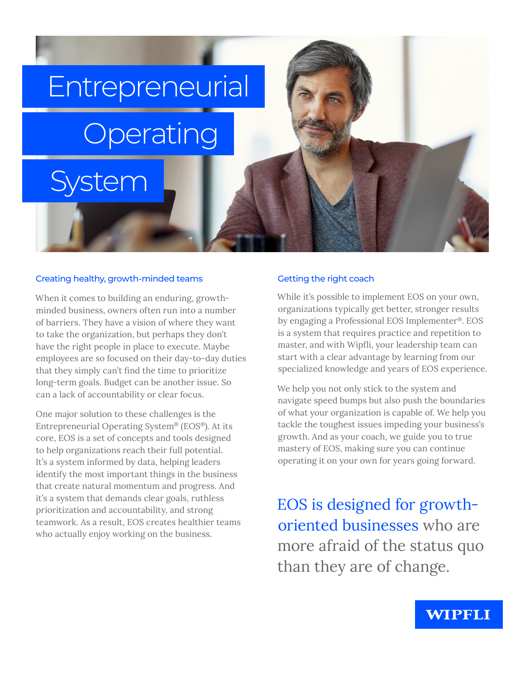# **Entrepreneurial Operating**

### Creating healthy, growth-minded teams

System

When it comes to building an enduring, growthminded business, owners often run into a number of barriers. They have a vision of where they want to take the organization, but perhaps they don't have the right people in place to execute. Maybe employees are so focused on their day-to-day duties that they simply can't find the time to prioritize long-term goals. Budget can be another issue. So can a lack of accountability or clear focus.

One major solution to these challenges is the Entrepreneurial Operating System® (EOS®). At its core, EOS is a set of concepts and tools designed to help organizations reach their full potential. It's a system informed by data, helping leaders identify the most important things in the business that create natural momentum and progress. And it's a system that demands clear goals, ruthless prioritization and accountability, and strong teamwork. As a result, EOS creates healthier teams who actually enjoy working on the business.

#### Getting the right coach

While it's possible to implement EOS on your own, organizations typically get better, stronger results by engaging a Professional EOS Implementer®. EOS is a system that requires practice and repetition to master, and with Wipfli, your leadership team can start with a clear advantage by learning from our specialized knowledge and years of EOS experience.

We help you not only stick to the system and navigate speed bumps but also push the boundaries of what your organization is capable of. We help you tackle the toughest issues impeding your business's growth. And as your coach, we guide you to true mastery of EOS, making sure you can continue operating it on your own for years going forward.

EOS is designed for growthoriented businesses who are more afraid of the status quo than they are of change.